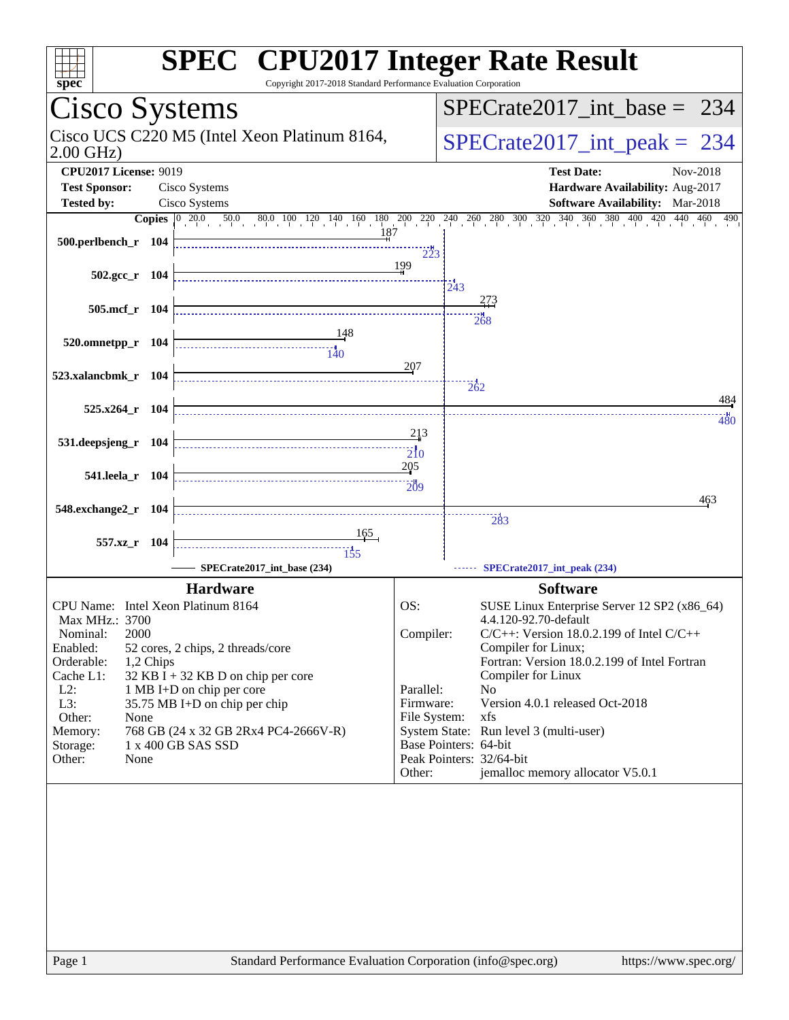| <b>SPEC<sup>®</sup></b> CPU2017 Integer Rate Result<br>Copyright 2017-2018 Standard Performance Evaluation Corporation                                                                                                                                                                                                                                                                                                                                                                            |
|---------------------------------------------------------------------------------------------------------------------------------------------------------------------------------------------------------------------------------------------------------------------------------------------------------------------------------------------------------------------------------------------------------------------------------------------------------------------------------------------------|
| $SPECrate2017\_int\_base = 234$                                                                                                                                                                                                                                                                                                                                                                                                                                                                   |
| Cisco UCS C220 M5 (Intel Xeon Platinum 8164,<br>$SPECrate2017\_int\_peak = 234$                                                                                                                                                                                                                                                                                                                                                                                                                   |
| <b>Test Date:</b><br>Nov-2018<br>Hardware Availability: Aug-2017                                                                                                                                                                                                                                                                                                                                                                                                                                  |
| <b>Software Availability:</b> Mar-2018                                                                                                                                                                                                                                                                                                                                                                                                                                                            |
| <b>Copies</b> $\begin{bmatrix} 0 & 20.0 & 50.0 & 80.0 & 100 & 120 & 140 & 160 & 180 & 200 & 220 & 240 & 260 & 300 & 320 & 340 & 360 & 380 & 400 & 420 \end{bmatrix}$<br>440 460 490<br>187                                                                                                                                                                                                                                                                                                        |
| $\frac{1}{223}$<br>199<br>243                                                                                                                                                                                                                                                                                                                                                                                                                                                                     |
| 273<br>268                                                                                                                                                                                                                                                                                                                                                                                                                                                                                        |
|                                                                                                                                                                                                                                                                                                                                                                                                                                                                                                   |
| 207<br>262<br>484                                                                                                                                                                                                                                                                                                                                                                                                                                                                                 |
| $-480$<br>213                                                                                                                                                                                                                                                                                                                                                                                                                                                                                     |
| $\overline{210}$<br>205                                                                                                                                                                                                                                                                                                                                                                                                                                                                           |
| $\frac{1}{209}$<br>463                                                                                                                                                                                                                                                                                                                                                                                                                                                                            |
| 283                                                                                                                                                                                                                                                                                                                                                                                                                                                                                               |
| SPECrate2017_int_peak (234)                                                                                                                                                                                                                                                                                                                                                                                                                                                                       |
| <b>Software</b><br>OS:<br>SUSE Linux Enterprise Server 12 SP2 (x86_64)<br>4.4.120-92.70-default<br>Compiler:<br>$C/C++$ : Version 18.0.2.199 of Intel $C/C++$<br>Compiler for Linux;<br>Fortran: Version 18.0.2.199 of Intel Fortran<br>Compiler for Linux<br>Parallel:<br>No<br>Version 4.0.1 released Oct-2018<br>Firmware:<br>File System:<br>xfs<br>System State: Run level 3 (multi-user)<br>Base Pointers: 64-bit<br>Peak Pointers: 32/64-bit<br>jemalloc memory allocator V5.0.1<br>Other: |
|                                                                                                                                                                                                                                                                                                                                                                                                                                                                                                   |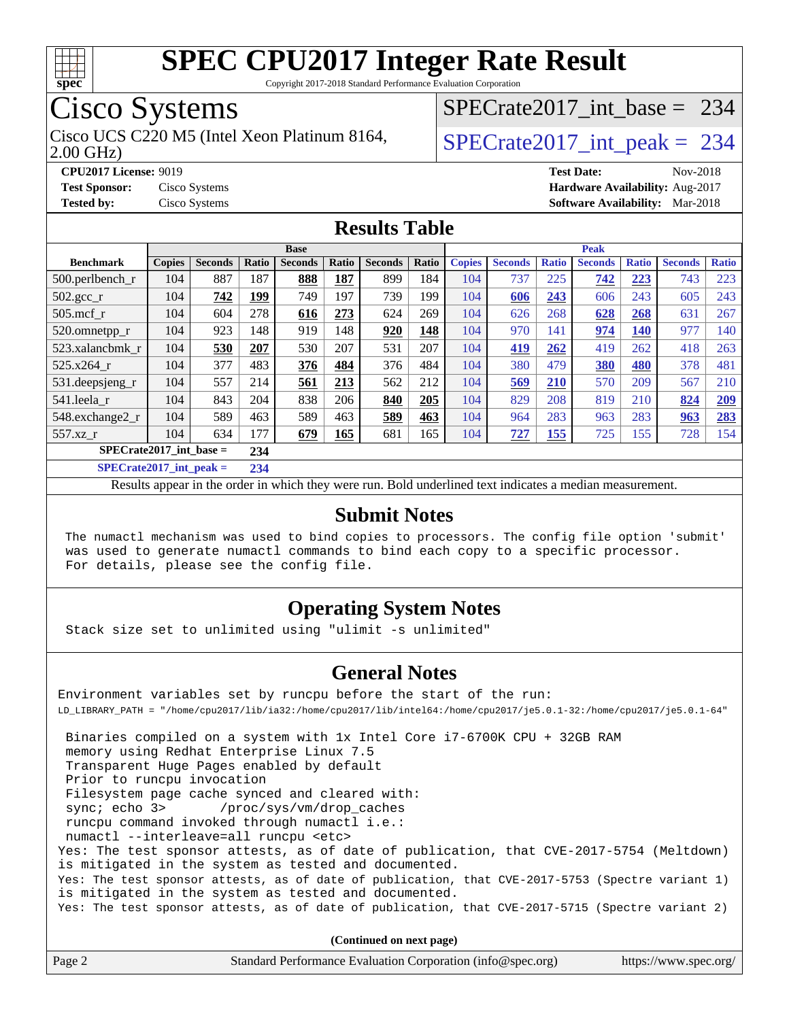

Copyright 2017-2018 Standard Performance Evaluation Corporation

# Cisco Systems

2.00 GHz) Cisco UCS C220 M5 (Intel Xeon Platinum 8164,  $\vert$ [SPECrate2017\\_int\\_peak =](http://www.spec.org/auto/cpu2017/Docs/result-fields.html#SPECrate2017intpeak) 234

[SPECrate2017\\_int\\_base =](http://www.spec.org/auto/cpu2017/Docs/result-fields.html#SPECrate2017intbase) 234

**[CPU2017 License:](http://www.spec.org/auto/cpu2017/Docs/result-fields.html#CPU2017License)** 9019 **[Test Date:](http://www.spec.org/auto/cpu2017/Docs/result-fields.html#TestDate)** Nov-2018 **[Test Sponsor:](http://www.spec.org/auto/cpu2017/Docs/result-fields.html#TestSponsor)** Cisco Systems **[Hardware Availability:](http://www.spec.org/auto/cpu2017/Docs/result-fields.html#HardwareAvailability)** Aug-2017 **[Tested by:](http://www.spec.org/auto/cpu2017/Docs/result-fields.html#Testedby)** Cisco Systems **[Software Availability:](http://www.spec.org/auto/cpu2017/Docs/result-fields.html#SoftwareAvailability)** Mar-2018

### **[Results Table](http://www.spec.org/auto/cpu2017/Docs/result-fields.html#ResultsTable)**

| <b>Base</b>                |               |                |              |                |       |                |       | <b>Peak</b>   |                |              |                |              |                |              |
|----------------------------|---------------|----------------|--------------|----------------|-------|----------------|-------|---------------|----------------|--------------|----------------|--------------|----------------|--------------|
| <b>Benchmark</b>           | <b>Copies</b> | <b>Seconds</b> | <b>Ratio</b> | <b>Seconds</b> | Ratio | <b>Seconds</b> | Ratio | <b>Copies</b> | <b>Seconds</b> | <b>Ratio</b> | <b>Seconds</b> | <b>Ratio</b> | <b>Seconds</b> | <b>Ratio</b> |
| $500.$ perlbench_r         | 104           | 887            | 187          | 888            | 187   | 899            | 184   | 104           | 737            | 225          | 742            | 223          | 743            | 223          |
| 502.gcc_r                  | 104           | 742            | 199          | 749            | 197   | 739            | 199   | 104           | 606            | 243          | 606            | 243          | 605            | 243          |
| $505$ .mcf r               | 104           | 604            | 278          | 616            | 273   | 624            | 269   | 104           | 626            | 268          | 628            | 268          | 631            | 267          |
| 520.omnetpp_r              | 104           | 923            | 148          | 919            | 148   | 920            | 148   | 104           | 970            | 141          | 974            | <b>140</b>   | 977            | 140          |
| 523.xalancbmk r            | 104           | 530            | 207          | 530            | 207   | 531            | 207   | 104           | 419            | 262          | 419            | 262          | 418            | 263          |
| 525.x264 r                 | 104           | 377            | 483          | 376            | 484   | 376            | 484   | 104           | 380            | 479          | 380            | 480          | 378            | 481          |
| 531.deepsjeng_r            | 104           | 557            | 214          | 561            | 213   | 562            | 212   | 104           | 569            | 210          | 570            | 209          | 567            | 210          |
| 541.leela r                | 104           | 843            | 204          | 838            | 206   | 840            | 205   | 104           | 829            | 208          | 819            | 210          | 824            | 209          |
| 548.exchange2_r            | 104           | 589            | 463          | 589            | 463   | 589            | 463   | 104           | 964            | 283          | 963            | 283          | 963            | 283          |
| 557.xz r                   | 104           | 634            | 177          | 679            | 165   | 681            | 165   | 104           | 727            | 155          | 725            | 155          | 728            | 154          |
| $SPECrate2017$ int base =  |               |                | 234          |                |       |                |       |               |                |              |                |              |                |              |
| $CDFCsoft2017 int model =$ |               |                | 224          |                |       |                |       |               |                |              |                |              |                |              |

**[SPECrate2017\\_int\\_peak =](http://www.spec.org/auto/cpu2017/Docs/result-fields.html#SPECrate2017intpeak) 234**

Results appear in the [order in which they were run](http://www.spec.org/auto/cpu2017/Docs/result-fields.html#RunOrder). Bold underlined text [indicates a median measurement](http://www.spec.org/auto/cpu2017/Docs/result-fields.html#Median).

#### **[Submit Notes](http://www.spec.org/auto/cpu2017/Docs/result-fields.html#SubmitNotes)**

 The numactl mechanism was used to bind copies to processors. The config file option 'submit' was used to generate numactl commands to bind each copy to a specific processor. For details, please see the config file.

### **[Operating System Notes](http://www.spec.org/auto/cpu2017/Docs/result-fields.html#OperatingSystemNotes)**

Stack size set to unlimited using "ulimit -s unlimited"

#### **[General Notes](http://www.spec.org/auto/cpu2017/Docs/result-fields.html#GeneralNotes)**

Environment variables set by runcpu before the start of the run: LD\_LIBRARY\_PATH = "/home/cpu2017/lib/ia32:/home/cpu2017/lib/intel64:/home/cpu2017/je5.0.1-32:/home/cpu2017/je5.0.1-64" Binaries compiled on a system with 1x Intel Core i7-6700K CPU + 32GB RAM memory using Redhat Enterprise Linux 7.5 Transparent Huge Pages enabled by default Prior to runcpu invocation Filesystem page cache synced and cleared with: sync; echo 3> /proc/sys/vm/drop\_caches runcpu command invoked through numactl i.e.: numactl --interleave=all runcpu <etc> Yes: The test sponsor attests, as of date of publication, that CVE-2017-5754 (Meltdown) is mitigated in the system as tested and documented. Yes: The test sponsor attests, as of date of publication, that CVE-2017-5753 (Spectre variant 1) is mitigated in the system as tested and documented. Yes: The test sponsor attests, as of date of publication, that CVE-2017-5715 (Spectre variant 2)

**(Continued on next page)**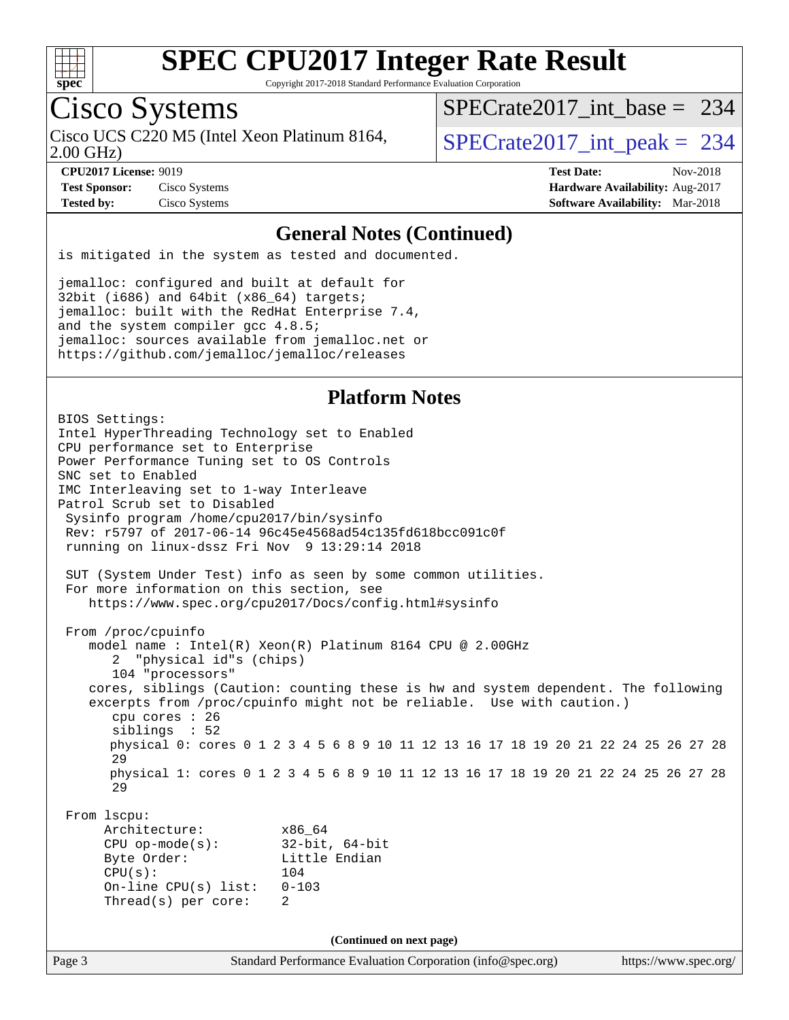

Copyright 2017-2018 Standard Performance Evaluation Corporation

# Cisco Systems

2.00 GHz) Cisco UCS C220 M5 (Intel Xeon Platinum 8164,  $\vert$ [SPECrate2017\\_int\\_peak =](http://www.spec.org/auto/cpu2017/Docs/result-fields.html#SPECrate2017intpeak) 234

[SPECrate2017\\_int\\_base =](http://www.spec.org/auto/cpu2017/Docs/result-fields.html#SPECrate2017intbase) 234

**[Test Sponsor:](http://www.spec.org/auto/cpu2017/Docs/result-fields.html#TestSponsor)** Cisco Systems **[Hardware Availability:](http://www.spec.org/auto/cpu2017/Docs/result-fields.html#HardwareAvailability)** Aug-2017

**[CPU2017 License:](http://www.spec.org/auto/cpu2017/Docs/result-fields.html#CPU2017License)** 9019 **[Test Date:](http://www.spec.org/auto/cpu2017/Docs/result-fields.html#TestDate)** Nov-2018 **[Tested by:](http://www.spec.org/auto/cpu2017/Docs/result-fields.html#Testedby)** Cisco Systems **[Software Availability:](http://www.spec.org/auto/cpu2017/Docs/result-fields.html#SoftwareAvailability)** Mar-2018

#### **[General Notes \(Continued\)](http://www.spec.org/auto/cpu2017/Docs/result-fields.html#GeneralNotes)**

is mitigated in the system as tested and documented.

jemalloc: configured and built at default for 32bit (i686) and 64bit (x86\_64) targets; jemalloc: built with the RedHat Enterprise 7.4, and the system compiler gcc 4.8.5; jemalloc: sources available from jemalloc.net or <https://github.com/jemalloc/jemalloc/releases>

### **[Platform Notes](http://www.spec.org/auto/cpu2017/Docs/result-fields.html#PlatformNotes)**

Page 3 Standard Performance Evaluation Corporation [\(info@spec.org\)](mailto:info@spec.org) <https://www.spec.org/> BIOS Settings: Intel HyperThreading Technology set to Enabled CPU performance set to Enterprise Power Performance Tuning set to OS Controls SNC set to Enabled IMC Interleaving set to 1-way Interleave Patrol Scrub set to Disabled Sysinfo program /home/cpu2017/bin/sysinfo Rev: r5797 of 2017-06-14 96c45e4568ad54c135fd618bcc091c0f running on linux-dssz Fri Nov 9 13:29:14 2018 SUT (System Under Test) info as seen by some common utilities. For more information on this section, see <https://www.spec.org/cpu2017/Docs/config.html#sysinfo> From /proc/cpuinfo model name : Intel(R) Xeon(R) Platinum 8164 CPU @ 2.00GHz 2 "physical id"s (chips) 104 "processors" cores, siblings (Caution: counting these is hw and system dependent. The following excerpts from /proc/cpuinfo might not be reliable. Use with caution.) cpu cores : 26 siblings : 52 physical 0: cores 0 1 2 3 4 5 6 8 9 10 11 12 13 16 17 18 19 20 21 22 24 25 26 27 28 29 physical 1: cores 0 1 2 3 4 5 6 8 9 10 11 12 13 16 17 18 19 20 21 22 24 25 26 27 28 29 From lscpu: Architecture: x86\_64 CPU op-mode(s): 32-bit, 64-bit Byte Order: Little Endian CPU(s): 104 On-line CPU(s) list: 0-103 Thread(s) per core: 2 **(Continued on next page)**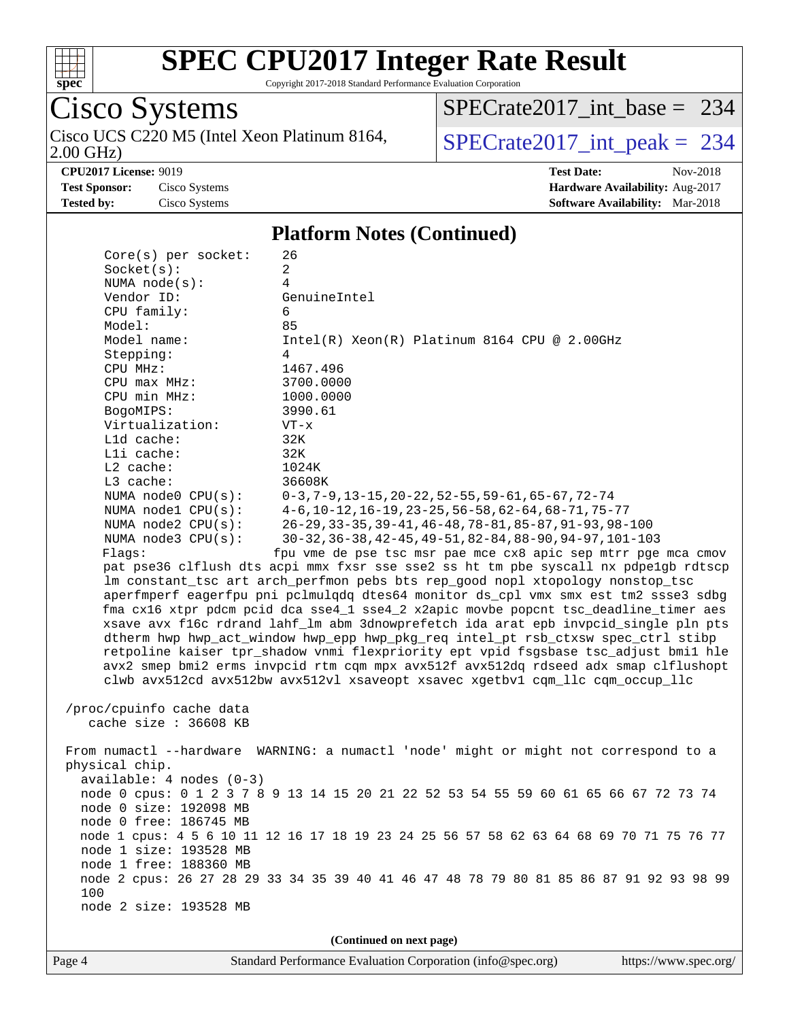

Copyright 2017-2018 Standard Performance Evaluation Corporation

Cisco Systems 2.00 GHz) Cisco UCS C220 M5 (Intel Xeon Platinum 8164,  $\big|$  [SPECrate2017\\_int\\_peak =](http://www.spec.org/auto/cpu2017/Docs/result-fields.html#SPECrate2017intpeak) 234

[SPECrate2017\\_int\\_base =](http://www.spec.org/auto/cpu2017/Docs/result-fields.html#SPECrate2017intbase) 234

**[CPU2017 License:](http://www.spec.org/auto/cpu2017/Docs/result-fields.html#CPU2017License)** 9019 **[Test Date:](http://www.spec.org/auto/cpu2017/Docs/result-fields.html#TestDate)** Nov-2018

**[Test Sponsor:](http://www.spec.org/auto/cpu2017/Docs/result-fields.html#TestSponsor)** Cisco Systems **[Hardware Availability:](http://www.spec.org/auto/cpu2017/Docs/result-fields.html#HardwareAvailability)** Aug-2017

**[Tested by:](http://www.spec.org/auto/cpu2017/Docs/result-fields.html#Testedby)** Cisco Systems **[Software Availability:](http://www.spec.org/auto/cpu2017/Docs/result-fields.html#SoftwareAvailability)** Mar-2018

#### **[Platform Notes \(Continued\)](http://www.spec.org/auto/cpu2017/Docs/result-fields.html#PlatformNotes)**

| Core(s) per socket:        | 26                                                                                      |  |  |  |  |
|----------------------------|-----------------------------------------------------------------------------------------|--|--|--|--|
| Socket(s):                 | 2                                                                                       |  |  |  |  |
| NUMA $node(s):$            | 4                                                                                       |  |  |  |  |
| Vendor ID:                 | GenuineIntel                                                                            |  |  |  |  |
| CPU family:                | 6                                                                                       |  |  |  |  |
| Model:                     | 85                                                                                      |  |  |  |  |
| Model name:                | Intel(R) Xeon(R) Platinum 8164 CPU @ 2.00GHz                                            |  |  |  |  |
| Stepping:                  | 4                                                                                       |  |  |  |  |
| CPU MHz:                   | 1467.496                                                                                |  |  |  |  |
| CPU max MHz:               | 3700.0000                                                                               |  |  |  |  |
| CPU min MHz:               | 1000.0000                                                                               |  |  |  |  |
| BogoMIPS:                  | 3990.61                                                                                 |  |  |  |  |
| Virtualization:            | $VT - x$                                                                                |  |  |  |  |
| L1d cache:                 | 32K                                                                                     |  |  |  |  |
| Lli cache:                 | 32K                                                                                     |  |  |  |  |
| $L2$ cache:                | 1024K                                                                                   |  |  |  |  |
| L3 cache:                  | 36608K                                                                                  |  |  |  |  |
| NUMA node0 CPU(s):         | $0-3, 7-9, 13-15, 20-22, 52-55, 59-61, 65-67, 72-74$                                    |  |  |  |  |
| NUMA $node1$ $CPU(s):$     | $4-6$ , 10-12, 16-19, 23-25, 56-58, 62-64, 68-71, 75-77                                 |  |  |  |  |
| NUMA node2 CPU(s):         | 26-29, 33-35, 39-41, 46-48, 78-81, 85-87, 91-93, 98-100                                 |  |  |  |  |
| NUMA node3 CPU(s):         | 30-32, 36-38, 42-45, 49-51, 82-84, 88-90, 94-97, 101-103                                |  |  |  |  |
| Flags:                     | fpu vme de pse tsc msr pae mce cx8 apic sep mtrr pge mca cmov                           |  |  |  |  |
|                            | pat pse36 clflush dts acpi mmx fxsr sse sse2 ss ht tm pbe syscall nx pdpelgb rdtscp     |  |  |  |  |
|                            | lm constant_tsc art arch_perfmon pebs bts rep_good nopl xtopology nonstop_tsc           |  |  |  |  |
|                            | aperfmperf eagerfpu pni pclmulqdq dtes64 monitor ds_cpl vmx smx est tm2 ssse3 sdbg      |  |  |  |  |
|                            | fma cx16 xtpr pdcm pcid dca sse4_1 sse4_2 x2apic movbe popcnt tsc_deadline_timer aes    |  |  |  |  |
|                            | xsave avx f16c rdrand lahf_lm abm 3dnowprefetch ida arat epb invpcid_single pln pts     |  |  |  |  |
|                            | dtherm hwp hwp_act_window hwp_epp hwp_pkg_req intel_pt rsb_ctxsw spec_ctrl stibp        |  |  |  |  |
|                            | retpoline kaiser tpr_shadow vnmi flexpriority ept vpid fsgsbase tsc_adjust bmil hle     |  |  |  |  |
|                            | avx2 smep bmi2 erms invpcid rtm cqm mpx avx512f avx512dq rdseed adx smap clflushopt     |  |  |  |  |
|                            | clwb avx512cd avx512bw avx512vl xsaveopt xsavec xgetbvl cqm_llc cqm_occup_llc           |  |  |  |  |
|                            |                                                                                         |  |  |  |  |
| /proc/cpuinfo cache data   |                                                                                         |  |  |  |  |
| cache size : 36608 KB      |                                                                                         |  |  |  |  |
|                            |                                                                                         |  |  |  |  |
|                            | From numactl --hardware WARNING: a numactl 'node' might or might not correspond to a    |  |  |  |  |
| physical chip.             |                                                                                         |  |  |  |  |
| $available: 4 nodes (0-3)$ |                                                                                         |  |  |  |  |
|                            | node 0 cpus: 0 1 2 3 7 8 9 13 14 15 20 21 22 52 53 54 55 59 60 61 65 66 67 72 73 74     |  |  |  |  |
| node 0 size: 192098 MB     |                                                                                         |  |  |  |  |
| node 0 free: 186745 MB     |                                                                                         |  |  |  |  |
| node 1 size: 193528 MB     | node 1 cpus: 4 5 6 10 11 12 16 17 18 19 23 24 25 56 57 58 62 63 64 68 69 70 71 75 76 77 |  |  |  |  |
|                            |                                                                                         |  |  |  |  |
| node 1 free: 188360 MB     |                                                                                         |  |  |  |  |
| 100                        | node 2 cpus: 26 27 28 29 33 34 35 39 40 41 46 47 48 78 79 80 81 85 86 87 91 92 93 98 99 |  |  |  |  |
| node 2 size: 193528 MB     |                                                                                         |  |  |  |  |
|                            |                                                                                         |  |  |  |  |
|                            |                                                                                         |  |  |  |  |
| (Continued on next page)   |                                                                                         |  |  |  |  |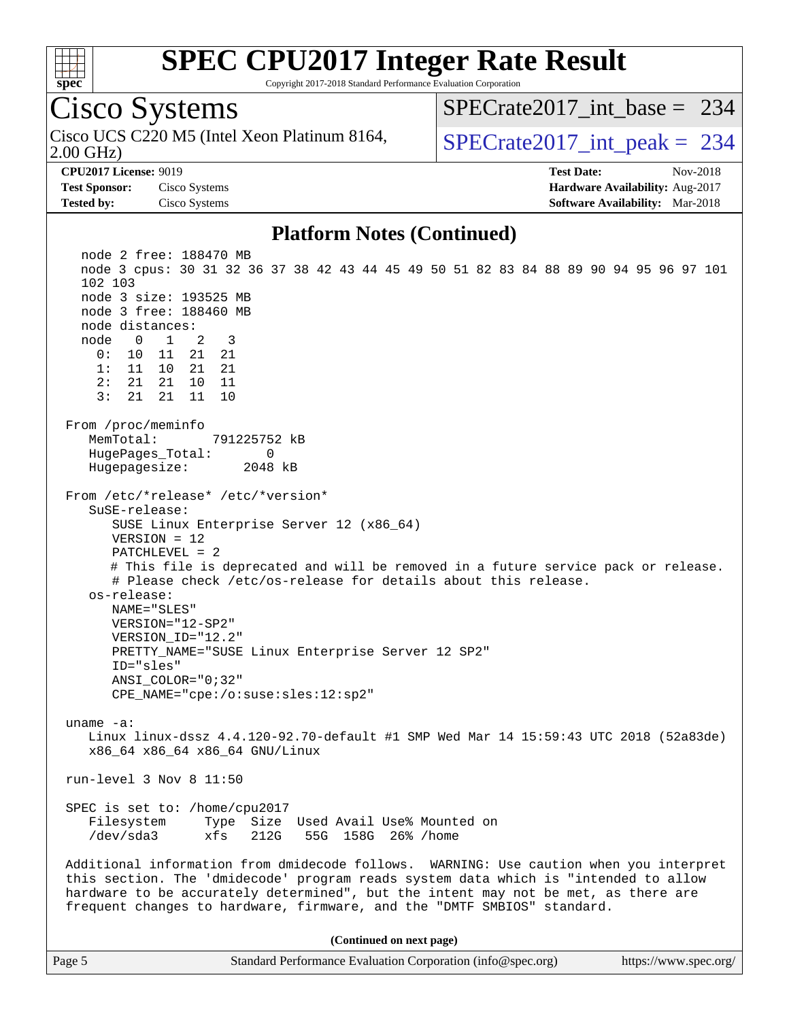

Cisco Systems

# **[SPEC CPU2017 Integer Rate Result](http://www.spec.org/auto/cpu2017/Docs/result-fields.html#SPECCPU2017IntegerRateResult)**

[SPECrate2017\\_int\\_base =](http://www.spec.org/auto/cpu2017/Docs/result-fields.html#SPECrate2017intbase) 234

Copyright 2017-2018 Standard Performance Evaluation Corporation

2.00 GHz) Cisco UCS C220 M5 (Intel Xeon Platinum 8164,  $\vert$ [SPECrate2017\\_int\\_peak =](http://www.spec.org/auto/cpu2017/Docs/result-fields.html#SPECrate2017intpeak) 234 **[CPU2017 License:](http://www.spec.org/auto/cpu2017/Docs/result-fields.html#CPU2017License)** 9019 **[Test Date:](http://www.spec.org/auto/cpu2017/Docs/result-fields.html#TestDate)** Nov-2018 **[Test Sponsor:](http://www.spec.org/auto/cpu2017/Docs/result-fields.html#TestSponsor)** Cisco Systems **[Hardware Availability:](http://www.spec.org/auto/cpu2017/Docs/result-fields.html#HardwareAvailability)** Aug-2017 **[Tested by:](http://www.spec.org/auto/cpu2017/Docs/result-fields.html#Testedby)** Cisco Systems **[Software Availability:](http://www.spec.org/auto/cpu2017/Docs/result-fields.html#SoftwareAvailability)** Mar-2018 **[Platform Notes \(Continued\)](http://www.spec.org/auto/cpu2017/Docs/result-fields.html#PlatformNotes)** node 2 free: 188470 MB node 3 cpus: 30 31 32 36 37 38 42 43 44 45 49 50 51 82 83 84 88 89 90 94 95 96 97 101 102 103 node 3 size: 193525 MB node 3 free: 188460 MB node distances: node 0 1 2 3 0: 10 11 21 21 1: 11 10 21 21 2: 21 21 10 11 3: 21 21 11 10 From /proc/meminfo MemTotal: 791225752 kB HugePages\_Total: 0 Hugepagesize: 2048 kB From /etc/\*release\* /etc/\*version\* SuSE-release: SUSE Linux Enterprise Server 12 (x86\_64) VERSION = 12 PATCHLEVEL = 2 # This file is deprecated and will be removed in a future service pack or release. # Please check /etc/os-release for details about this release. os-release: NAME="SLES" VERSION="12-SP2" VERSION\_ID="12.2" PRETTY\_NAME="SUSE Linux Enterprise Server 12 SP2" ID="sles" ANSI\_COLOR="0;32" CPE\_NAME="cpe:/o:suse:sles:12:sp2" uname -a: Linux linux-dssz 4.4.120-92.70-default #1 SMP Wed Mar 14 15:59:43 UTC 2018 (52a83de) x86\_64 x86\_64 x86\_64 GNU/Linux run-level 3 Nov 8 11:50 SPEC is set to: /home/cpu2017 Filesystem Type Size Used Avail Use% Mounted on /dev/sda3 xfs 212G 55G 158G 26% /home Additional information from dmidecode follows. WARNING: Use caution when you interpret this section. The 'dmidecode' program reads system data which is "intended to allow hardware to be accurately determined", but the intent may not be met, as there are frequent changes to hardware, firmware, and the "DMTF SMBIOS" standard.

**(Continued on next page)**

| Page: | Standard Performance Evaluation Corporation (info@spec.org) | https://www.spec.org/ |
|-------|-------------------------------------------------------------|-----------------------|
|-------|-------------------------------------------------------------|-----------------------|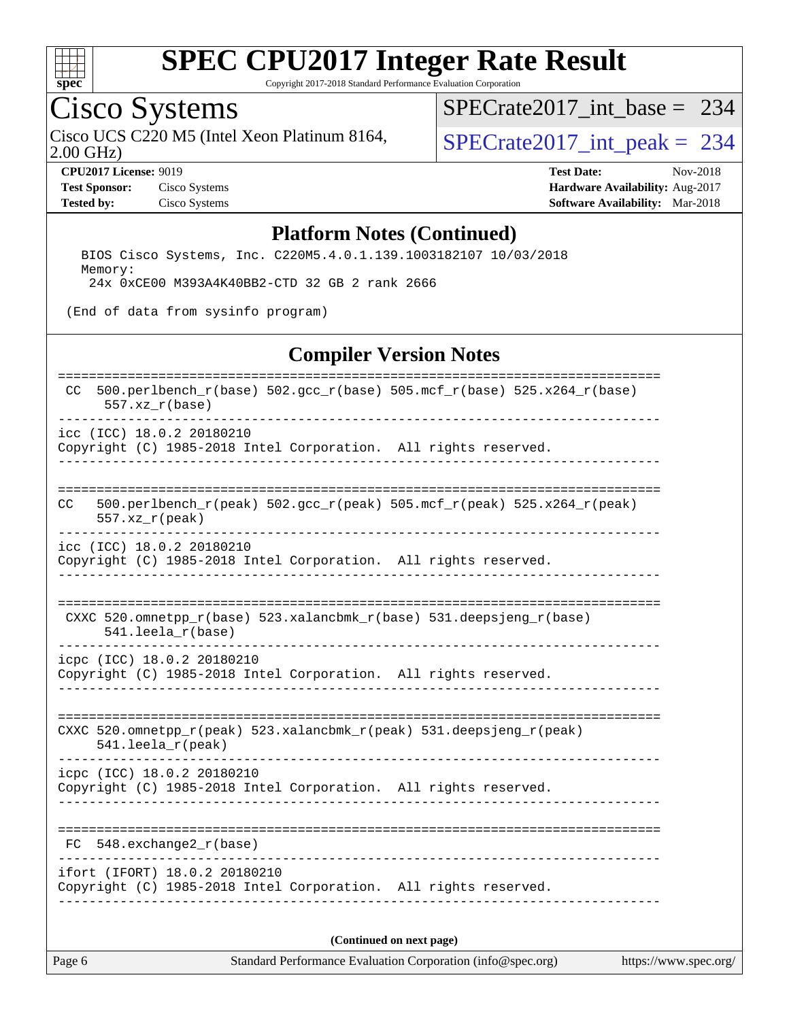

Copyright 2017-2018 Standard Performance Evaluation Corporation

## Cisco Systems

2.00 GHz) Cisco UCS C220 M5 (Intel Xeon Platinum 8164,  $SPECrate2017\_int\_peak = 234$ 

[SPECrate2017\\_int\\_base =](http://www.spec.org/auto/cpu2017/Docs/result-fields.html#SPECrate2017intbase) 234

**[Test Sponsor:](http://www.spec.org/auto/cpu2017/Docs/result-fields.html#TestSponsor)** Cisco Systems **[Hardware Availability:](http://www.spec.org/auto/cpu2017/Docs/result-fields.html#HardwareAvailability)** Aug-2017

**[CPU2017 License:](http://www.spec.org/auto/cpu2017/Docs/result-fields.html#CPU2017License)** 9019 **[Test Date:](http://www.spec.org/auto/cpu2017/Docs/result-fields.html#TestDate)** Nov-2018 **[Tested by:](http://www.spec.org/auto/cpu2017/Docs/result-fields.html#Testedby)** Cisco Systems **[Software Availability:](http://www.spec.org/auto/cpu2017/Docs/result-fields.html#SoftwareAvailability)** Mar-2018

#### **[Platform Notes \(Continued\)](http://www.spec.org/auto/cpu2017/Docs/result-fields.html#PlatformNotes)**

 BIOS Cisco Systems, Inc. C220M5.4.0.1.139.1003182107 10/03/2018 Memory: 24x 0xCE00 M393A4K40BB2-CTD 32 GB 2 rank 2666

(End of data from sysinfo program)

#### **[Compiler Version Notes](http://www.spec.org/auto/cpu2017/Docs/result-fields.html#CompilerVersionNotes)**

| 500.perlbench_r(base) 502.gcc_r(base) 505.mcf_r(base) 525.x264_r(base)<br>CC.                                 |  |  |  |  |
|---------------------------------------------------------------------------------------------------------------|--|--|--|--|
| $557. xz_r(base)$                                                                                             |  |  |  |  |
| icc (ICC) 18.0.2 20180210<br>Copyright (C) 1985-2018 Intel Corporation. All rights reserved.                  |  |  |  |  |
| $500. perlbench_r (peak) 502. gcc_r (peak) 505. mcf_r (peak) 525. x264_r (peak)$<br>CC.<br>$557. xz_r (peak)$ |  |  |  |  |
| icc (ICC) 18.0.2 20180210<br>Copyright (C) 1985-2018 Intel Corporation. All rights reserved.                  |  |  |  |  |
| CXXC 520.omnetpp_r(base) 523.xalancbmk_r(base) 531.deepsjeng_r(base)<br>$541.$ leela $r(base)$                |  |  |  |  |
| icpc (ICC) 18.0.2 20180210<br>Copyright (C) 1985-2018 Intel Corporation. All rights reserved.                 |  |  |  |  |
| CXXC 520.omnetpp_r(peak) 523.xalancbmk_r(peak) 531.deepsjeng_r(peak)<br>$541.$ leela_r(peak)                  |  |  |  |  |
| icpc (ICC) 18.0.2 20180210<br>Copyright (C) 1985-2018 Intel Corporation. All rights reserved.                 |  |  |  |  |
| FC 548. exchange2 r(base)                                                                                     |  |  |  |  |
| ifort (IFORT) 18.0.2 20180210<br>Copyright (C) 1985-2018 Intel Corporation. All rights reserved.              |  |  |  |  |
| (Continued on next page)                                                                                      |  |  |  |  |

Page 6 Standard Performance Evaluation Corporation [\(info@spec.org\)](mailto:info@spec.org) <https://www.spec.org/>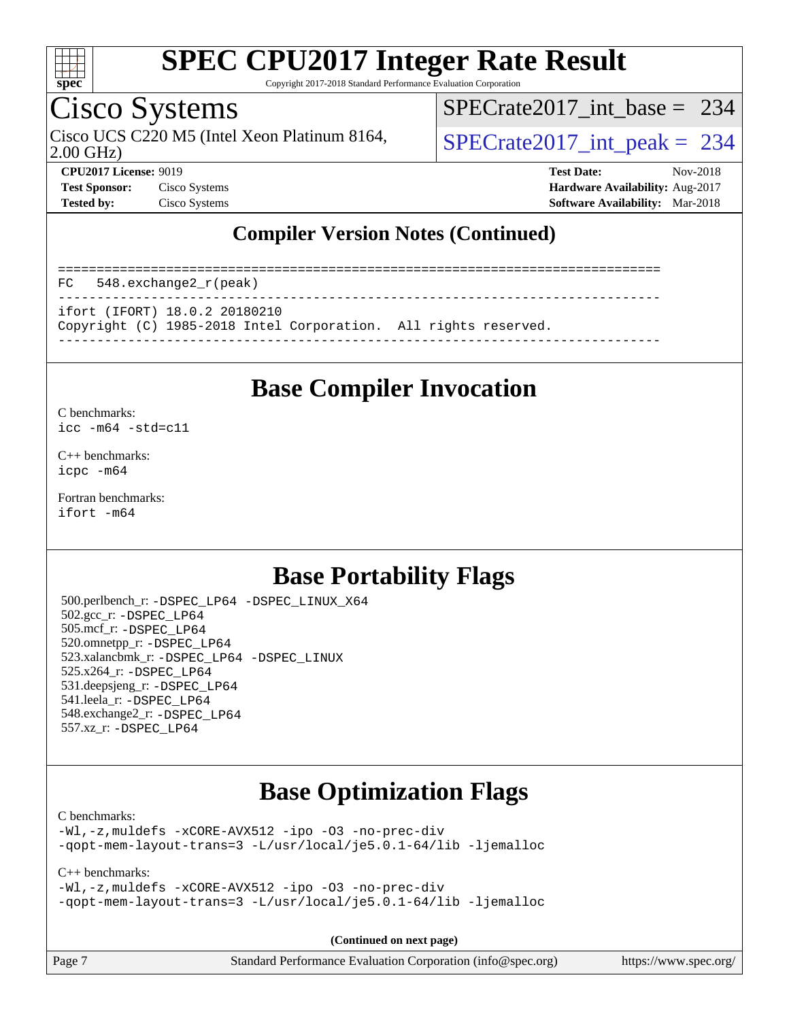

Copyright 2017-2018 Standard Performance Evaluation Corporation

## Cisco Systems

2.00 GHz) Cisco UCS C220 M5 (Intel Xeon Platinum 8164,  $\vert$ [SPECrate2017\\_int\\_peak =](http://www.spec.org/auto/cpu2017/Docs/result-fields.html#SPECrate2017intpeak) 234

[SPECrate2017\\_int\\_base =](http://www.spec.org/auto/cpu2017/Docs/result-fields.html#SPECrate2017intbase) 234

**[CPU2017 License:](http://www.spec.org/auto/cpu2017/Docs/result-fields.html#CPU2017License)** 9019 **[Test Date:](http://www.spec.org/auto/cpu2017/Docs/result-fields.html#TestDate)** Nov-2018 **[Test Sponsor:](http://www.spec.org/auto/cpu2017/Docs/result-fields.html#TestSponsor)** Cisco Systems **[Hardware Availability:](http://www.spec.org/auto/cpu2017/Docs/result-fields.html#HardwareAvailability)** Aug-2017 **[Tested by:](http://www.spec.org/auto/cpu2017/Docs/result-fields.html#Testedby)** Cisco Systems **[Software Availability:](http://www.spec.org/auto/cpu2017/Docs/result-fields.html#SoftwareAvailability)** Mar-2018

## **[Compiler Version Notes \(Continued\)](http://www.spec.org/auto/cpu2017/Docs/result-fields.html#CompilerVersionNotes)**

============================================================================== FC 548.exchange2\_r(peak) ----------------------------------------------------------------------------- ifort (IFORT) 18.0.2 20180210 Copyright (C) 1985-2018 Intel Corporation. All rights reserved. ------------------------------------------------------------------------------

## **[Base Compiler Invocation](http://www.spec.org/auto/cpu2017/Docs/result-fields.html#BaseCompilerInvocation)**

#### [C benchmarks](http://www.spec.org/auto/cpu2017/Docs/result-fields.html#Cbenchmarks):

[icc -m64 -std=c11](http://www.spec.org/cpu2017/results/res2018q4/cpu2017-20181113-09769.flags.html#user_CCbase_intel_icc_64bit_c11_33ee0cdaae7deeeab2a9725423ba97205ce30f63b9926c2519791662299b76a0318f32ddfffdc46587804de3178b4f9328c46fa7c2b0cd779d7a61945c91cd35)

[C++ benchmarks:](http://www.spec.org/auto/cpu2017/Docs/result-fields.html#CXXbenchmarks) [icpc -m64](http://www.spec.org/cpu2017/results/res2018q4/cpu2017-20181113-09769.flags.html#user_CXXbase_intel_icpc_64bit_4ecb2543ae3f1412ef961e0650ca070fec7b7afdcd6ed48761b84423119d1bf6bdf5cad15b44d48e7256388bc77273b966e5eb805aefd121eb22e9299b2ec9d9)

[Fortran benchmarks](http://www.spec.org/auto/cpu2017/Docs/result-fields.html#Fortranbenchmarks): [ifort -m64](http://www.spec.org/cpu2017/results/res2018q4/cpu2017-20181113-09769.flags.html#user_FCbase_intel_ifort_64bit_24f2bb282fbaeffd6157abe4f878425411749daecae9a33200eee2bee2fe76f3b89351d69a8130dd5949958ce389cf37ff59a95e7a40d588e8d3a57e0c3fd751)

## **[Base Portability Flags](http://www.spec.org/auto/cpu2017/Docs/result-fields.html#BasePortabilityFlags)**

 500.perlbench\_r: [-DSPEC\\_LP64](http://www.spec.org/cpu2017/results/res2018q4/cpu2017-20181113-09769.flags.html#b500.perlbench_r_basePORTABILITY_DSPEC_LP64) [-DSPEC\\_LINUX\\_X64](http://www.spec.org/cpu2017/results/res2018q4/cpu2017-20181113-09769.flags.html#b500.perlbench_r_baseCPORTABILITY_DSPEC_LINUX_X64) 502.gcc\_r: [-DSPEC\\_LP64](http://www.spec.org/cpu2017/results/res2018q4/cpu2017-20181113-09769.flags.html#suite_basePORTABILITY502_gcc_r_DSPEC_LP64) 505.mcf\_r: [-DSPEC\\_LP64](http://www.spec.org/cpu2017/results/res2018q4/cpu2017-20181113-09769.flags.html#suite_basePORTABILITY505_mcf_r_DSPEC_LP64) 520.omnetpp\_r: [-DSPEC\\_LP64](http://www.spec.org/cpu2017/results/res2018q4/cpu2017-20181113-09769.flags.html#suite_basePORTABILITY520_omnetpp_r_DSPEC_LP64) 523.xalancbmk\_r: [-DSPEC\\_LP64](http://www.spec.org/cpu2017/results/res2018q4/cpu2017-20181113-09769.flags.html#suite_basePORTABILITY523_xalancbmk_r_DSPEC_LP64) [-DSPEC\\_LINUX](http://www.spec.org/cpu2017/results/res2018q4/cpu2017-20181113-09769.flags.html#b523.xalancbmk_r_baseCXXPORTABILITY_DSPEC_LINUX) 525.x264\_r: [-DSPEC\\_LP64](http://www.spec.org/cpu2017/results/res2018q4/cpu2017-20181113-09769.flags.html#suite_basePORTABILITY525_x264_r_DSPEC_LP64) 531.deepsjeng\_r: [-DSPEC\\_LP64](http://www.spec.org/cpu2017/results/res2018q4/cpu2017-20181113-09769.flags.html#suite_basePORTABILITY531_deepsjeng_r_DSPEC_LP64) 541.leela\_r: [-DSPEC\\_LP64](http://www.spec.org/cpu2017/results/res2018q4/cpu2017-20181113-09769.flags.html#suite_basePORTABILITY541_leela_r_DSPEC_LP64) 548.exchange2\_r: [-DSPEC\\_LP64](http://www.spec.org/cpu2017/results/res2018q4/cpu2017-20181113-09769.flags.html#suite_basePORTABILITY548_exchange2_r_DSPEC_LP64) 557.xz\_r: [-DSPEC\\_LP64](http://www.spec.org/cpu2017/results/res2018q4/cpu2017-20181113-09769.flags.html#suite_basePORTABILITY557_xz_r_DSPEC_LP64)

## **[Base Optimization Flags](http://www.spec.org/auto/cpu2017/Docs/result-fields.html#BaseOptimizationFlags)**

#### [C benchmarks](http://www.spec.org/auto/cpu2017/Docs/result-fields.html#Cbenchmarks):

[-Wl,-z,muldefs](http://www.spec.org/cpu2017/results/res2018q4/cpu2017-20181113-09769.flags.html#user_CCbase_link_force_multiple1_b4cbdb97b34bdee9ceefcfe54f4c8ea74255f0b02a4b23e853cdb0e18eb4525ac79b5a88067c842dd0ee6996c24547a27a4b99331201badda8798ef8a743f577) [-xCORE-AVX512](http://www.spec.org/cpu2017/results/res2018q4/cpu2017-20181113-09769.flags.html#user_CCbase_f-xCORE-AVX512) [-ipo](http://www.spec.org/cpu2017/results/res2018q4/cpu2017-20181113-09769.flags.html#user_CCbase_f-ipo) [-O3](http://www.spec.org/cpu2017/results/res2018q4/cpu2017-20181113-09769.flags.html#user_CCbase_f-O3) [-no-prec-div](http://www.spec.org/cpu2017/results/res2018q4/cpu2017-20181113-09769.flags.html#user_CCbase_f-no-prec-div) [-qopt-mem-layout-trans=3](http://www.spec.org/cpu2017/results/res2018q4/cpu2017-20181113-09769.flags.html#user_CCbase_f-qopt-mem-layout-trans_de80db37974c74b1f0e20d883f0b675c88c3b01e9d123adea9b28688d64333345fb62bc4a798493513fdb68f60282f9a726aa07f478b2f7113531aecce732043) [-L/usr/local/je5.0.1-64/lib](http://www.spec.org/cpu2017/results/res2018q4/cpu2017-20181113-09769.flags.html#user_CCbase_jemalloc_link_path64_4b10a636b7bce113509b17f3bd0d6226c5fb2346b9178c2d0232c14f04ab830f976640479e5c33dc2bcbbdad86ecfb6634cbbd4418746f06f368b512fced5394) [-ljemalloc](http://www.spec.org/cpu2017/results/res2018q4/cpu2017-20181113-09769.flags.html#user_CCbase_jemalloc_link_lib_d1249b907c500fa1c0672f44f562e3d0f79738ae9e3c4a9c376d49f265a04b9c99b167ecedbf6711b3085be911c67ff61f150a17b3472be731631ba4d0471706)

[C++ benchmarks:](http://www.spec.org/auto/cpu2017/Docs/result-fields.html#CXXbenchmarks)

[-Wl,-z,muldefs](http://www.spec.org/cpu2017/results/res2018q4/cpu2017-20181113-09769.flags.html#user_CXXbase_link_force_multiple1_b4cbdb97b34bdee9ceefcfe54f4c8ea74255f0b02a4b23e853cdb0e18eb4525ac79b5a88067c842dd0ee6996c24547a27a4b99331201badda8798ef8a743f577) [-xCORE-AVX512](http://www.spec.org/cpu2017/results/res2018q4/cpu2017-20181113-09769.flags.html#user_CXXbase_f-xCORE-AVX512) [-ipo](http://www.spec.org/cpu2017/results/res2018q4/cpu2017-20181113-09769.flags.html#user_CXXbase_f-ipo) [-O3](http://www.spec.org/cpu2017/results/res2018q4/cpu2017-20181113-09769.flags.html#user_CXXbase_f-O3) [-no-prec-div](http://www.spec.org/cpu2017/results/res2018q4/cpu2017-20181113-09769.flags.html#user_CXXbase_f-no-prec-div) [-qopt-mem-layout-trans=3](http://www.spec.org/cpu2017/results/res2018q4/cpu2017-20181113-09769.flags.html#user_CXXbase_f-qopt-mem-layout-trans_de80db37974c74b1f0e20d883f0b675c88c3b01e9d123adea9b28688d64333345fb62bc4a798493513fdb68f60282f9a726aa07f478b2f7113531aecce732043) [-L/usr/local/je5.0.1-64/lib](http://www.spec.org/cpu2017/results/res2018q4/cpu2017-20181113-09769.flags.html#user_CXXbase_jemalloc_link_path64_4b10a636b7bce113509b17f3bd0d6226c5fb2346b9178c2d0232c14f04ab830f976640479e5c33dc2bcbbdad86ecfb6634cbbd4418746f06f368b512fced5394) [-ljemalloc](http://www.spec.org/cpu2017/results/res2018q4/cpu2017-20181113-09769.flags.html#user_CXXbase_jemalloc_link_lib_d1249b907c500fa1c0672f44f562e3d0f79738ae9e3c4a9c376d49f265a04b9c99b167ecedbf6711b3085be911c67ff61f150a17b3472be731631ba4d0471706)

**(Continued on next page)**

| 2e 7 |  |
|------|--|
|------|--|

Page 7 Standard Performance Evaluation Corporation [\(info@spec.org\)](mailto:info@spec.org) <https://www.spec.org/>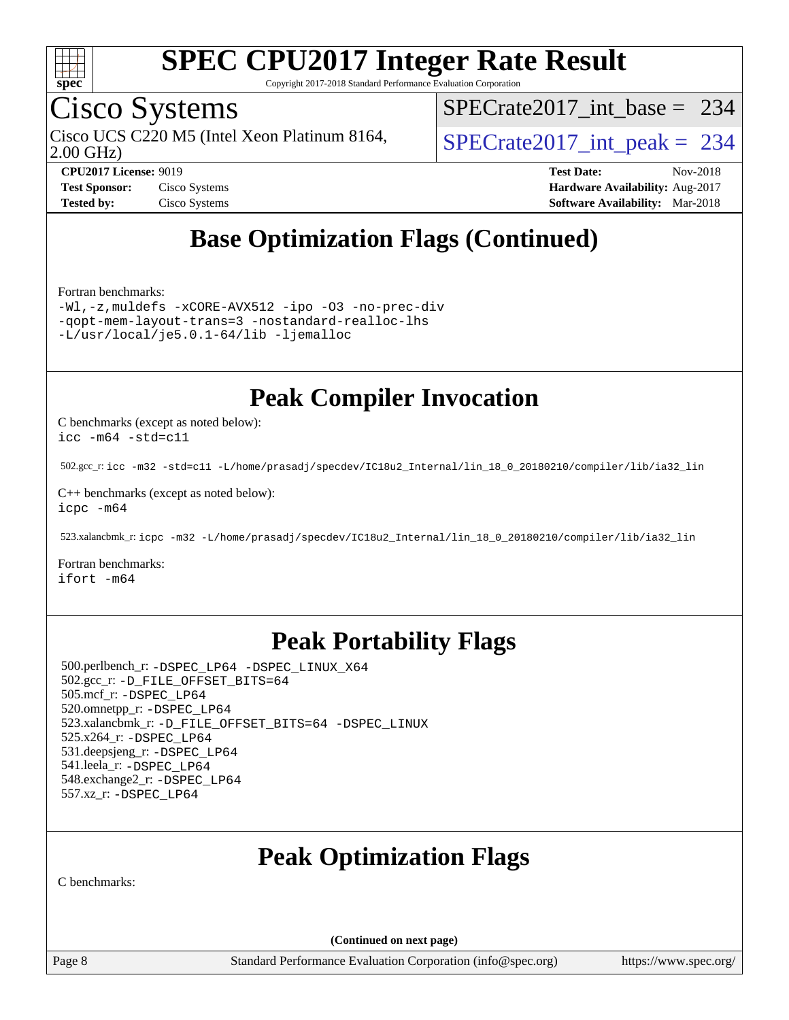

Copyright 2017-2018 Standard Performance Evaluation Corporation

## Cisco Systems

2.00 GHz) Cisco UCS C220 M5 (Intel Xeon Platinum 8164,  $\vert$ [SPECrate2017\\_int\\_peak =](http://www.spec.org/auto/cpu2017/Docs/result-fields.html#SPECrate2017intpeak) 234

[SPECrate2017\\_int\\_base =](http://www.spec.org/auto/cpu2017/Docs/result-fields.html#SPECrate2017intbase) 234

**[Tested by:](http://www.spec.org/auto/cpu2017/Docs/result-fields.html#Testedby)** Cisco Systems **[Software Availability:](http://www.spec.org/auto/cpu2017/Docs/result-fields.html#SoftwareAvailability)** Mar-2018

**[CPU2017 License:](http://www.spec.org/auto/cpu2017/Docs/result-fields.html#CPU2017License)** 9019 **[Test Date:](http://www.spec.org/auto/cpu2017/Docs/result-fields.html#TestDate)** Nov-2018 **[Test Sponsor:](http://www.spec.org/auto/cpu2017/Docs/result-fields.html#TestSponsor)** Cisco Systems **Cisco Systems [Hardware Availability:](http://www.spec.org/auto/cpu2017/Docs/result-fields.html#HardwareAvailability)** Aug-2017

## **[Base Optimization Flags \(Continued\)](http://www.spec.org/auto/cpu2017/Docs/result-fields.html#BaseOptimizationFlags)**

[Fortran benchmarks](http://www.spec.org/auto/cpu2017/Docs/result-fields.html#Fortranbenchmarks):

[-Wl,-z,muldefs](http://www.spec.org/cpu2017/results/res2018q4/cpu2017-20181113-09769.flags.html#user_FCbase_link_force_multiple1_b4cbdb97b34bdee9ceefcfe54f4c8ea74255f0b02a4b23e853cdb0e18eb4525ac79b5a88067c842dd0ee6996c24547a27a4b99331201badda8798ef8a743f577) [-xCORE-AVX512](http://www.spec.org/cpu2017/results/res2018q4/cpu2017-20181113-09769.flags.html#user_FCbase_f-xCORE-AVX512) [-ipo](http://www.spec.org/cpu2017/results/res2018q4/cpu2017-20181113-09769.flags.html#user_FCbase_f-ipo) [-O3](http://www.spec.org/cpu2017/results/res2018q4/cpu2017-20181113-09769.flags.html#user_FCbase_f-O3) [-no-prec-div](http://www.spec.org/cpu2017/results/res2018q4/cpu2017-20181113-09769.flags.html#user_FCbase_f-no-prec-div) [-qopt-mem-layout-trans=3](http://www.spec.org/cpu2017/results/res2018q4/cpu2017-20181113-09769.flags.html#user_FCbase_f-qopt-mem-layout-trans_de80db37974c74b1f0e20d883f0b675c88c3b01e9d123adea9b28688d64333345fb62bc4a798493513fdb68f60282f9a726aa07f478b2f7113531aecce732043) [-nostandard-realloc-lhs](http://www.spec.org/cpu2017/results/res2018q4/cpu2017-20181113-09769.flags.html#user_FCbase_f_2003_std_realloc_82b4557e90729c0f113870c07e44d33d6f5a304b4f63d4c15d2d0f1fab99f5daaed73bdb9275d9ae411527f28b936061aa8b9c8f2d63842963b95c9dd6426b8a) [-L/usr/local/je5.0.1-64/lib](http://www.spec.org/cpu2017/results/res2018q4/cpu2017-20181113-09769.flags.html#user_FCbase_jemalloc_link_path64_4b10a636b7bce113509b17f3bd0d6226c5fb2346b9178c2d0232c14f04ab830f976640479e5c33dc2bcbbdad86ecfb6634cbbd4418746f06f368b512fced5394) [-ljemalloc](http://www.spec.org/cpu2017/results/res2018q4/cpu2017-20181113-09769.flags.html#user_FCbase_jemalloc_link_lib_d1249b907c500fa1c0672f44f562e3d0f79738ae9e3c4a9c376d49f265a04b9c99b167ecedbf6711b3085be911c67ff61f150a17b3472be731631ba4d0471706)

## **[Peak Compiler Invocation](http://www.spec.org/auto/cpu2017/Docs/result-fields.html#PeakCompilerInvocation)**

[C benchmarks \(except as noted below\)](http://www.spec.org/auto/cpu2017/Docs/result-fields.html#Cbenchmarksexceptasnotedbelow): [icc -m64 -std=c11](http://www.spec.org/cpu2017/results/res2018q4/cpu2017-20181113-09769.flags.html#user_CCpeak_intel_icc_64bit_c11_33ee0cdaae7deeeab2a9725423ba97205ce30f63b9926c2519791662299b76a0318f32ddfffdc46587804de3178b4f9328c46fa7c2b0cd779d7a61945c91cd35)

502.gcc\_r: [icc -m32 -std=c11 -L/home/prasadj/specdev/IC18u2\\_Internal/lin\\_18\\_0\\_20180210/compiler/lib/ia32\\_lin](http://www.spec.org/cpu2017/results/res2018q4/cpu2017-20181113-09769.flags.html#user_peakCCLD502_gcc_r_intel_icc_a481ac844e7127046fad14d498c730a1848fa901fbbb2c3dfdd5e9fbbac777c8009953946d55d8b6afe8ed0da70dd2b4f8dedbdf7ab1ee211ba70d24a5d89f85)

[C++ benchmarks \(except as noted below\):](http://www.spec.org/auto/cpu2017/Docs/result-fields.html#CXXbenchmarksexceptasnotedbelow) [icpc -m64](http://www.spec.org/cpu2017/results/res2018q4/cpu2017-20181113-09769.flags.html#user_CXXpeak_intel_icpc_64bit_4ecb2543ae3f1412ef961e0650ca070fec7b7afdcd6ed48761b84423119d1bf6bdf5cad15b44d48e7256388bc77273b966e5eb805aefd121eb22e9299b2ec9d9)

523.xalancbmk\_r: [icpc -m32 -L/home/prasadj/specdev/IC18u2\\_Internal/lin\\_18\\_0\\_20180210/compiler/lib/ia32\\_lin](http://www.spec.org/cpu2017/results/res2018q4/cpu2017-20181113-09769.flags.html#user_peakCXXLD523_xalancbmk_r_intel_icpc_c6d030cd79af6ea7d6fb64c57e8fe7ae8fe0b96fc5a3b3f4a10e3273b3d7fa9decd8263f6330cef23f751cb093a69fae84a2bf4c243500a8eed069248128076f)

[Fortran benchmarks](http://www.spec.org/auto/cpu2017/Docs/result-fields.html#Fortranbenchmarks): [ifort -m64](http://www.spec.org/cpu2017/results/res2018q4/cpu2017-20181113-09769.flags.html#user_FCpeak_intel_ifort_64bit_24f2bb282fbaeffd6157abe4f878425411749daecae9a33200eee2bee2fe76f3b89351d69a8130dd5949958ce389cf37ff59a95e7a40d588e8d3a57e0c3fd751)

## **[Peak Portability Flags](http://www.spec.org/auto/cpu2017/Docs/result-fields.html#PeakPortabilityFlags)**

 500.perlbench\_r: [-DSPEC\\_LP64](http://www.spec.org/cpu2017/results/res2018q4/cpu2017-20181113-09769.flags.html#b500.perlbench_r_peakPORTABILITY_DSPEC_LP64) [-DSPEC\\_LINUX\\_X64](http://www.spec.org/cpu2017/results/res2018q4/cpu2017-20181113-09769.flags.html#b500.perlbench_r_peakCPORTABILITY_DSPEC_LINUX_X64) 502.gcc\_r: [-D\\_FILE\\_OFFSET\\_BITS=64](http://www.spec.org/cpu2017/results/res2018q4/cpu2017-20181113-09769.flags.html#user_peakPORTABILITY502_gcc_r_file_offset_bits_64_5ae949a99b284ddf4e95728d47cb0843d81b2eb0e18bdfe74bbf0f61d0b064f4bda2f10ea5eb90e1dcab0e84dbc592acfc5018bc955c18609f94ddb8d550002c) 505.mcf\_r: [-DSPEC\\_LP64](http://www.spec.org/cpu2017/results/res2018q4/cpu2017-20181113-09769.flags.html#suite_peakPORTABILITY505_mcf_r_DSPEC_LP64) 520.omnetpp\_r: [-DSPEC\\_LP64](http://www.spec.org/cpu2017/results/res2018q4/cpu2017-20181113-09769.flags.html#suite_peakPORTABILITY520_omnetpp_r_DSPEC_LP64) 523.xalancbmk\_r: [-D\\_FILE\\_OFFSET\\_BITS=64](http://www.spec.org/cpu2017/results/res2018q4/cpu2017-20181113-09769.flags.html#user_peakPORTABILITY523_xalancbmk_r_file_offset_bits_64_5ae949a99b284ddf4e95728d47cb0843d81b2eb0e18bdfe74bbf0f61d0b064f4bda2f10ea5eb90e1dcab0e84dbc592acfc5018bc955c18609f94ddb8d550002c) [-DSPEC\\_LINUX](http://www.spec.org/cpu2017/results/res2018q4/cpu2017-20181113-09769.flags.html#b523.xalancbmk_r_peakCXXPORTABILITY_DSPEC_LINUX) 525.x264\_r: [-DSPEC\\_LP64](http://www.spec.org/cpu2017/results/res2018q4/cpu2017-20181113-09769.flags.html#suite_peakPORTABILITY525_x264_r_DSPEC_LP64) 531.deepsjeng\_r: [-DSPEC\\_LP64](http://www.spec.org/cpu2017/results/res2018q4/cpu2017-20181113-09769.flags.html#suite_peakPORTABILITY531_deepsjeng_r_DSPEC_LP64) 541.leela\_r: [-DSPEC\\_LP64](http://www.spec.org/cpu2017/results/res2018q4/cpu2017-20181113-09769.flags.html#suite_peakPORTABILITY541_leela_r_DSPEC_LP64) 548.exchange2\_r: [-DSPEC\\_LP64](http://www.spec.org/cpu2017/results/res2018q4/cpu2017-20181113-09769.flags.html#suite_peakPORTABILITY548_exchange2_r_DSPEC_LP64) 557.xz\_r: [-DSPEC\\_LP64](http://www.spec.org/cpu2017/results/res2018q4/cpu2017-20181113-09769.flags.html#suite_peakPORTABILITY557_xz_r_DSPEC_LP64)

## **[Peak Optimization Flags](http://www.spec.org/auto/cpu2017/Docs/result-fields.html#PeakOptimizationFlags)**

[C benchmarks](http://www.spec.org/auto/cpu2017/Docs/result-fields.html#Cbenchmarks):

**(Continued on next page)**

Page 8 Standard Performance Evaluation Corporation [\(info@spec.org\)](mailto:info@spec.org) <https://www.spec.org/>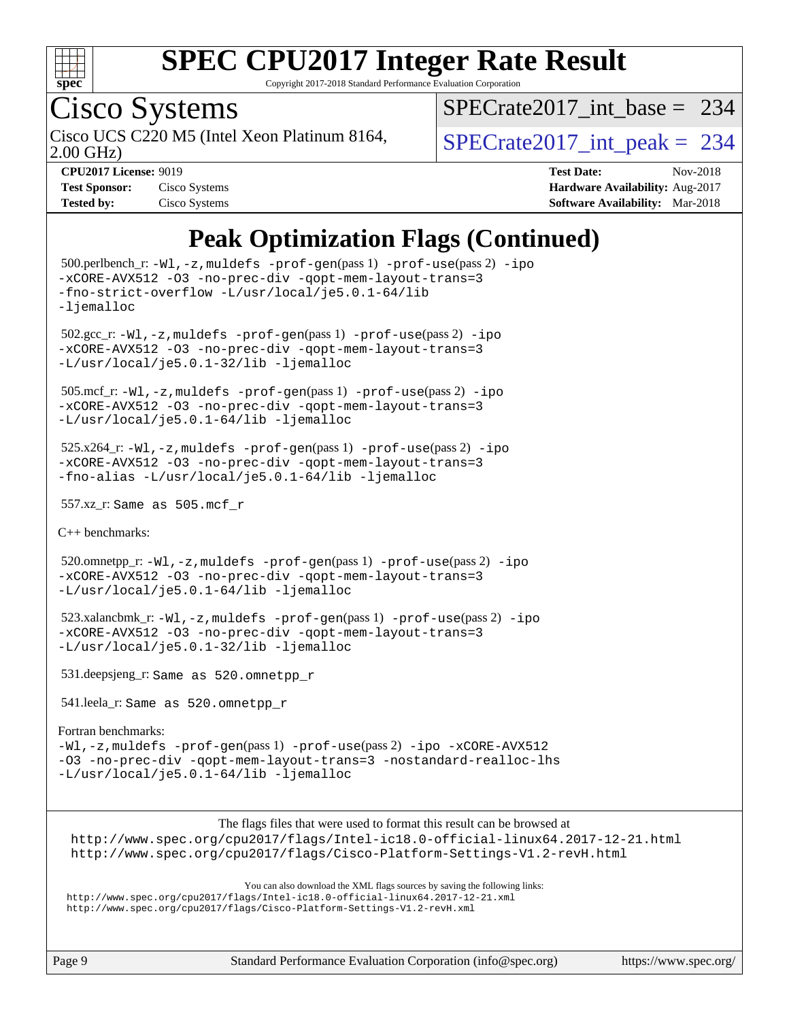

Copyright 2017-2018 Standard Performance Evaluation Corporation

# Cisco Systems

2.00 GHz) Cisco UCS C220 M5 (Intel Xeon Platinum 8164,  $\vert$ [SPECrate2017\\_int\\_peak =](http://www.spec.org/auto/cpu2017/Docs/result-fields.html#SPECrate2017intpeak) 234

[SPECrate2017\\_int\\_base =](http://www.spec.org/auto/cpu2017/Docs/result-fields.html#SPECrate2017intbase) 234

| <b>Test Sponsor:</b> | Cisco Systems |
|----------------------|---------------|
| <b>Tested by:</b>    | Cisco Systems |

**[CPU2017 License:](http://www.spec.org/auto/cpu2017/Docs/result-fields.html#CPU2017License)** 9019 **[Test Date:](http://www.spec.org/auto/cpu2017/Docs/result-fields.html#TestDate)** Nov-2018 **[Hardware Availability:](http://www.spec.org/auto/cpu2017/Docs/result-fields.html#HardwareAvailability)** Aug-2017 **[Software Availability:](http://www.spec.org/auto/cpu2017/Docs/result-fields.html#SoftwareAvailability)** Mar-2018

## **[Peak Optimization Flags \(Continued\)](http://www.spec.org/auto/cpu2017/Docs/result-fields.html#PeakOptimizationFlags)**

```
 500.perlbench_r: -Wl,-z,muldefs -prof-gen(pass 1) -prof-use(pass 2) -ipo
-xCORE-AVX512 -O3 -no-prec-div -qopt-mem-layout-trans=3
-fno-strict-overflow -L/usr/local/je5.0.1-64/lib
-ljemalloc
 502.gcc_r: -Wl,-z,muldefs -prof-gen(pass 1) -prof-use(pass 2) -ipo
-xCORE-AVX512 -O3 -no-prec-div -qopt-mem-layout-trans=3
-L/usr/local/je5.0.1-32/lib -ljemalloc
 505.mcf_r: -Wl,-z,muldefs -prof-gen(pass 1) -prof-use(pass 2) -ipo
-xCORE-AVX512 -O3 -no-prec-div -qopt-mem-layout-trans=3
-L/usr/local/je5.0.1-64/lib -ljemalloc
525.x264_r: -Wl, -z, muldefs -prof-gen(pass 1)-prof-use-ipo
-xCORE-AVX512 -O3 -no-prec-div -qopt-mem-layout-trans=3
-fno-alias -L/usr/local/je5.0.1-64/lib -ljemalloc
 557.xz_r: Same as 505.mcf_r
C++ benchmarks: 
 520.omnetpp_r: -Wl,-z,muldefs -prof-gen(pass 1) -prof-use(pass 2) -ipo
-xCORE-AVX512 -O3 -no-prec-div -qopt-mem-layout-trans=3
-L/usr/local/je5.0.1-64/lib -ljemalloc
 523.xalancbmk_r: -Wl,-z,muldefs -prof-gen(pass 1) -prof-use(pass 2) -ipo
-xCORE-AVX512 -O3 -no-prec-div -qopt-mem-layout-trans=3
-L/usr/local/je5.0.1-32/lib -ljemalloc
 531.deepsjeng_r: Same as 520.omnetpp_r
 541.leela_r: Same as 520.omnetpp_r
Fortran benchmarks: 
-Wl,-z,muldefs -prof-gen(pass 1) -prof-use(pass 2) -ipo -xCORE-AVX512
-O3 -no-prec-div -qopt-mem-layout-trans=3 -nostandard-realloc-lhs
-L/usr/local/je5.0.1-64/lib -ljemalloc
                       The flags files that were used to format this result can be browsed at
 http://www.spec.org/cpu2017/flags/Intel-ic18.0-official-linux64.2017-12-21.html
 http://www.spec.org/cpu2017/flags/Cisco-Platform-Settings-V1.2-revH.html
                          You can also download the XML flags sources by saving the following links:
```
<http://www.spec.org/cpu2017/flags/Intel-ic18.0-official-linux64.2017-12-21.xml> <http://www.spec.org/cpu2017/flags/Cisco-Platform-Settings-V1.2-revH.xml>